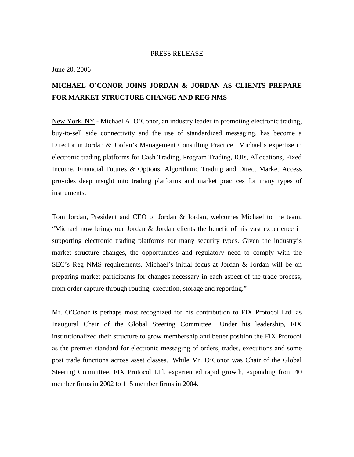## PRESS RELEASE

June 20, 2006

## **MICHAEL O'CONOR JOINS JORDAN & JORDAN AS CLIENTS PREPARE FOR MARKET STRUCTURE CHANGE AND REG NMS**

New York, NY - Michael A. O'Conor, an industry leader in promoting electronic trading, buy-to-sell side connectivity and the use of standardized messaging, has become a Director in Jordan & Jordan's Management Consulting Practice. Michael's expertise in electronic trading platforms for Cash Trading, Program Trading, IOIs, Allocations, Fixed Income, Financial Futures & Options, Algorithmic Trading and Direct Market Access provides deep insight into trading platforms and market practices for many types of instruments.

Tom Jordan, President and CEO of Jordan & Jordan, welcomes Michael to the team. "Michael now brings our Jordan & Jordan clients the benefit of his vast experience in supporting electronic trading platforms for many security types. Given the industry's market structure changes, the opportunities and regulatory need to comply with the SEC's Reg NMS requirements, Michael's initial focus at Jordan & Jordan will be on preparing market participants for changes necessary in each aspect of the trade process, from order capture through routing, execution, storage and reporting."

Mr. O'Conor is perhaps most recognized for his contribution to FIX Protocol Ltd. as Inaugural Chair of the Global Steering Committee. Under his leadership, FIX institutionalized their structure to grow membership and better position the FIX Protocol as the premier standard for electronic messaging of orders, trades, executions and some post trade functions across asset classes. While Mr. O'Conor was Chair of the Global Steering Committee, FIX Protocol Ltd. experienced rapid growth, expanding from 40 member firms in 2002 to 115 member firms in 2004.